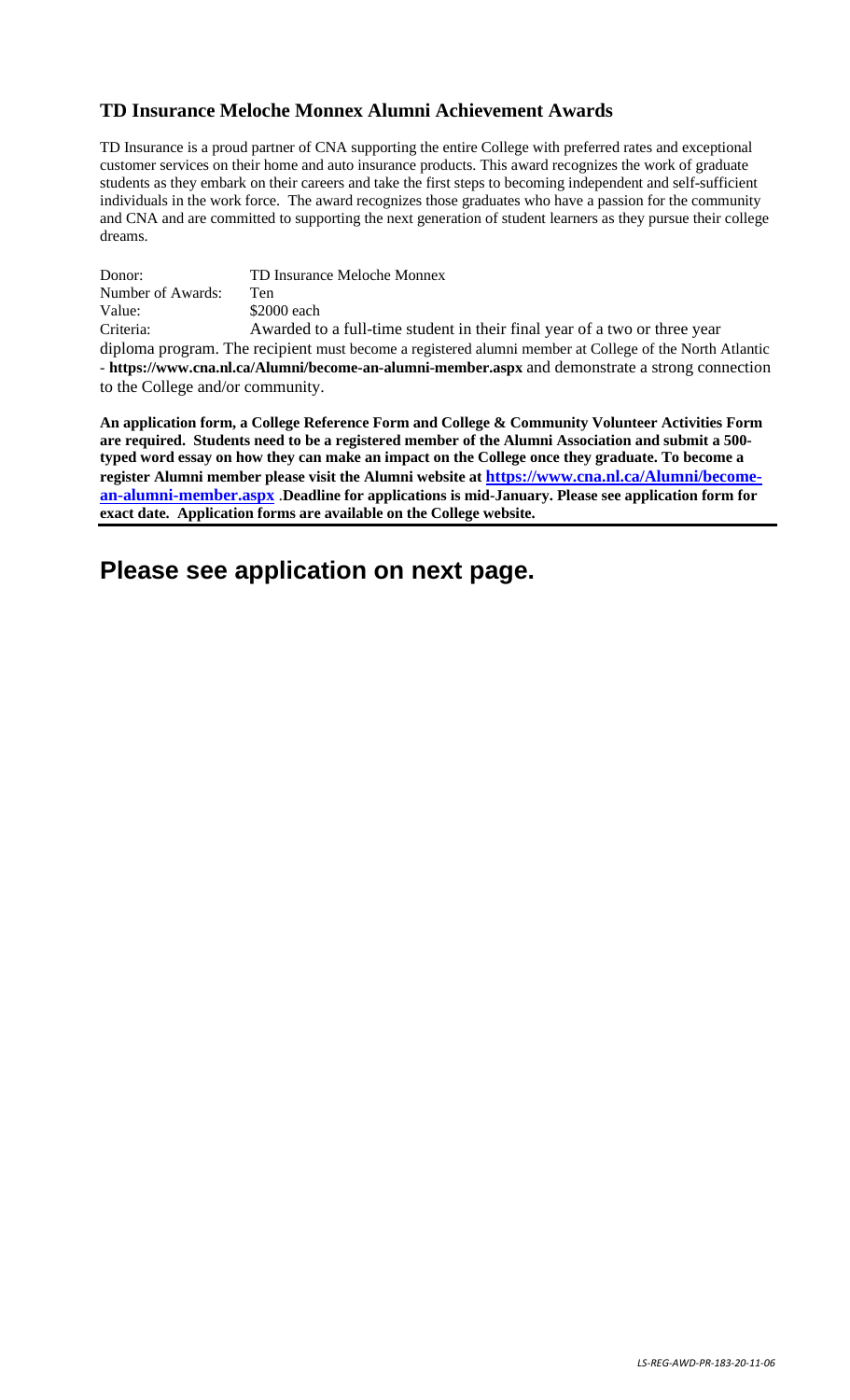## **TD Insurance Meloche Monnex Alumni Achievement Awards**

TD Insurance is a proud partner of CNA supporting the entire College with preferred rates and exceptional customer services on their home and auto insurance products. This award recognizes the work of graduate students as they embark on their careers and take the first steps to becoming independent and self-sufficient individuals in the work force. The award recognizes those graduates who have a passion for the community and CNA and are committed to supporting the next generation of student learners as they pursue their college dreams.

Donor: TD Insurance Meloche Monnex Number of Awards: Ten Value: \$2000 each Criteria: Awarded to a full-time student in their final year of a two or three year diploma program. The recipient must become a registered alumni member at College of the North Atlantic - **https://www.cna.nl.ca/Alumni/become-an-alumni-member.aspx** and demonstrate a strong connection

to the College and/or community.

**An application form, a College Reference Form and College & Community Volunteer Activities Form are required. Students need to be a registered member of the Alumni Association and submit a 500 typed word essay on how they can make an impact on the College once they graduate. To become a register Alumni member please visit the Alumni website at [https://www.cna.nl.ca/Alumni/become](https://www.cna.nl.ca/Alumni/become-an-alumni-member.aspx)[an-alumni-member.aspx](https://www.cna.nl.ca/Alumni/become-an-alumni-member.aspx)** .**Deadline for applications is mid-January. Please see application form for exact date. Application forms are available on the College website.**

# **Please see application on next page.**